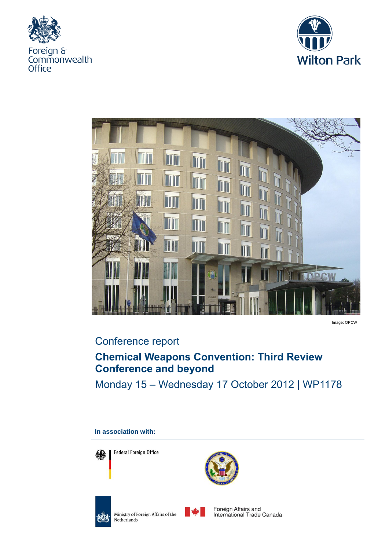





Image: OPCW

## Conference report

## **Chemical Weapons Convention: Third Review Conference and beyond**

Monday 15 – Wednesday 17 October 2012 | WP1178

# **Federal Foreign Office** Foreign Affairs and Ministry of Foreign Affairs of the 極 Netherlands

**In association with:**

International Trade Canada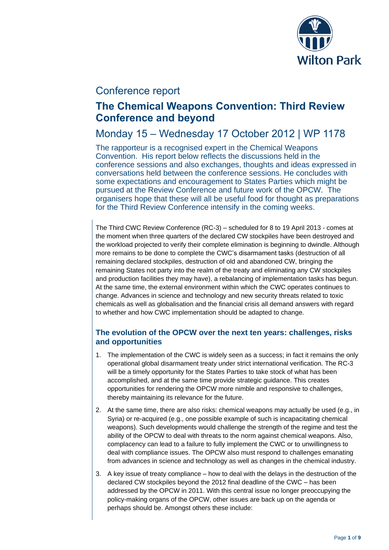

## Conference report

## **The Chemical Weapons Convention: Third Review Conference and beyond**

## Monday 15 – Wednesday 17 October 2012 | WP 1178

The rapporteur is a recognised expert in the Chemical Weapons Convention. His report below reflects the discussions held in the conference sessions and also exchanges, thoughts and ideas expressed in conversations held between the conference sessions. He concludes with some expectations and encouragement to States Parties which might be pursued at the Review Conference and future work of the OPCW. The organisers hope that these will all be useful food for thought as preparations for the Third Review Conference intensify in the coming weeks.

The Third CWC Review Conference (RC-3) – scheduled for 8 to 19 April 2013 - comes at the moment when three quarters of the declared CW stockpiles have been destroyed and the workload projected to verify their complete elimination is beginning to dwindle. Although more remains to be done to complete the CWC's disarmament tasks (destruction of all remaining declared stockpiles, destruction of old and abandoned CW, bringing the remaining States not party into the realm of the treaty and eliminating any CW stockpiles and production facilities they may have), a rebalancing of implementation tasks has begun. At the same time, the external environment within which the CWC operates continues to change. Advances in science and technology and new security threats related to toxic chemicals as well as globalisation and the financial crisis all demand answers with regard to whether and how CWC implementation should be adapted to change.

#### **The evolution of the OPCW over the next ten years: challenges, risks and opportunities**

- 1. The implementation of the CWC is widely seen as a success; in fact it remains the only operational global disarmament treaty under strict international verification. The RC-3 will be a timely opportunity for the States Parties to take stock of what has been accomplished, and at the same time provide strategic guidance. This creates opportunities for rendering the OPCW more nimble and responsive to challenges, thereby maintaining its relevance for the future.
- 2. At the same time, there are also risks: chemical weapons may actually be used (e.g., in Syria) or re-acquired (e.g., one possible example of such is incapacitating chemical weapons). Such developments would challenge the strength of the regime and test the ability of the OPCW to deal with threats to the norm against chemical weapons. Also, complacency can lead to a failure to fully implement the CWC or to unwillingness to deal with compliance issues. The OPCW also must respond to challenges emanating from advances in science and technology as well as changes in the chemical industry.
- 3. A key issue of treaty compliance how to deal with the delays in the destruction of the declared CW stockpiles beyond the 2012 final deadline of the CWC – has been addressed by the OPCW in 2011. With this central issue no longer preoccupying the policy-making organs of the OPCW, other issues are back up on the agenda or perhaps should be. Amongst others these include: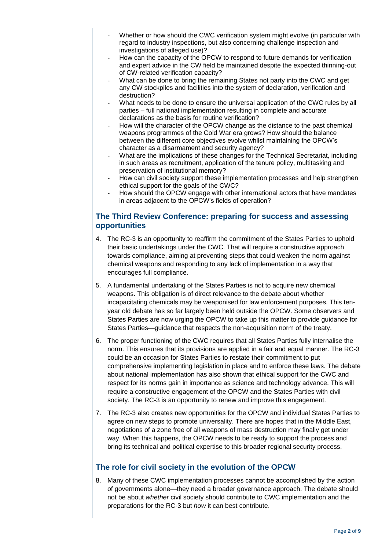- Whether or how should the CWC verification system might evolve (in particular with regard to industry inspections, but also concerning challenge inspection and investigations of alleged use)?
- How can the capacity of the OPCW to respond to future demands for verification and expert advice in the CW field be maintained despite the expected thinning-out of CW-related verification capacity?
- What can be done to bring the remaining States not party into the CWC and get any CW stockpiles and facilities into the system of declaration, verification and destruction?
- What needs to be done to ensure the universal application of the CWC rules by all parties – full national implementation resulting in complete and accurate declarations as the basis for routine verification?
- How will the character of the OPCW change as the distance to the past chemical weapons programmes of the Cold War era grows? How should the balance between the different core objectives evolve whilst maintaining the OPCW's character as a disarmament and security agency?
- What are the implications of these changes for the Technical Secretariat, including in such areas as recruitment, application of the tenure policy, multitasking and preservation of institutional memory?
- How can civil society support these implementation processes and help strengthen ethical support for the goals of the CWC?
- How should the OPCW engage with other international actors that have mandates in areas adjacent to the OPCW's fields of operation?

#### **The Third Review Conference: preparing for success and assessing opportunities**

- 4. The RC-3 is an opportunity to reaffirm the commitment of the States Parties to uphold their basic undertakings under the CWC. That will require a constructive approach towards compliance, aiming at preventing steps that could weaken the norm against chemical weapons and responding to any lack of implementation in a way that encourages full compliance.
- 5. A fundamental undertaking of the States Parties is not to acquire new chemical weapons. This obligation is of direct relevance to the debate about whether incapacitating chemicals may be weaponised for law enforcement purposes. This tenyear old debate has so far largely been held outside the OPCW. Some observers and States Parties are now urging the OPCW to take up this matter to provide guidance for States Parties—guidance that respects the non-acquisition norm of the treaty.
- 6. The proper functioning of the CWC requires that all States Parties fully internalise the norm. This ensures that its provisions are applied in a fair and equal manner. The RC-3 could be an occasion for States Parties to restate their commitment to put comprehensive implementing legislation in place and to enforce these laws. The debate about national implementation has also shown that ethical support for the CWC and respect for its norms gain in importance as science and technology advance. This will require a constructive engagement of the OPCW and the States Parties with civil society. The RC-3 is an opportunity to renew and improve this engagement.
- 7. The RC-3 also creates new opportunities for the OPCW and individual States Parties to agree on new steps to promote universality. There are hopes that in the Middle East, negotiations of a zone free of all weapons of mass destruction may finally get under way. When this happens, the OPCW needs to be ready to support the process and bring its technical and political expertise to this broader regional security process.

### **The role for civil society in the evolution of the OPCW**

8. Many of these CWC implementation processes cannot be accomplished by the action of governments alone—they need a broader governance approach. The debate should not be about *whether* civil society should contribute to CWC implementation and the preparations for the RC-3 but *how* it can best contribute.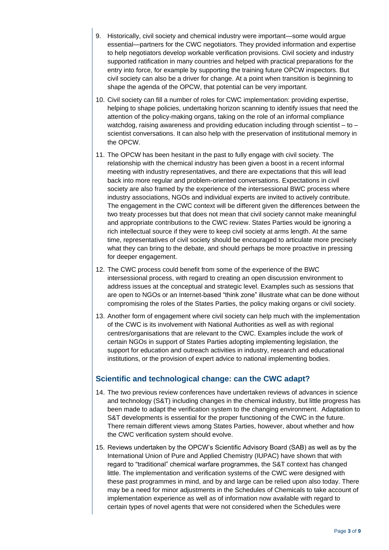- 9. Historically, civil society and chemical industry were important—some would argue essential—partners for the CWC negotiators. They provided information and expertise to help negotiators develop workable verification provisions. Civil society and industry supported ratification in many countries and helped with practical preparations for the entry into force, for example by supporting the training future OPCW inspectors. But civil society can also be a driver for change. At a point when transition is beginning to shape the agenda of the OPCW, that potential can be very important.
- 10. Civil society can fill a number of roles for CWC implementation: providing expertise, helping to shape policies, undertaking horizon scanning to identify issues that need the attention of the policy-making organs, taking on the role of an informal compliance watchdog, raising awareness and providing education including through scientist – to – scientist conversations. It can also help with the preservation of institutional memory in the OPCW.
- 11. The OPCW has been hesitant in the past to fully engage with civil society. The relationship with the chemical industry has been given a boost in a recent informal meeting with industry representatives, and there are expectations that this will lead back into more regular and problem-oriented conversations. Expectations in civil society are also framed by the experience of the intersessional BWC process where industry associations, NGOs and individual experts are invited to actively contribute. The engagement in the CWC context will be different given the differences between the two treaty processes but that does not mean that civil society cannot make meaningful and appropriate contributions to the CWC review. States Parties would be ignoring a rich intellectual source if they were to keep civil society at arms length. At the same time, representatives of civil society should be encouraged to articulate more precisely what they can bring to the debate, and should perhaps be more proactive in pressing for deeper engagement.
- 12. The CWC process could benefit from some of the experience of the BWC intersessional process, with regard to creating an open discussion environment to address issues at the conceptual and strategic level. Examples such as sessions that are open to NGOs or an Internet-based "think zone" illustrate what can be done without compromising the roles of the States Parties, the policy making organs or civil society.
- 13. Another form of engagement where civil society can help much with the implementation of the CWC is its involvement with National Authorities as well as with regional centres/organisations that are relevant to the CWC. Examples include the work of certain NGOs in support of States Parties adopting implementing legislation, the support for education and outreach activities in industry, research and educational institutions, or the provision of expert advice to national implementing bodies.

#### **Scientific and technological change: can the CWC adapt?**

- 14. The two previous review conferences have undertaken reviews of advances in science and technology (S&T) including changes in the chemical industry, but little progress has been made to adapt the verification system to the changing environment. Adaptation to S&T developments is essential for the proper functioning of the CWC in the future. There remain different views among States Parties, however, about whether and how the CWC verification system should evolve.
- 15. Reviews undertaken by the OPCW's Scientific Advisory Board (SAB) as well as by the International Union of Pure and Applied Chemistry (IUPAC) have shown that with regard to "traditional" chemical warfare programmes, the S&T context has changed little. The implementation and verification systems of the CWC were designed with these past programmes in mind, and by and large can be relied upon also today. There may be a need for minor adjustments in the Schedules of Chemicals to take account of implementation experience as well as of information now available with regard to certain types of novel agents that were not considered when the Schedules were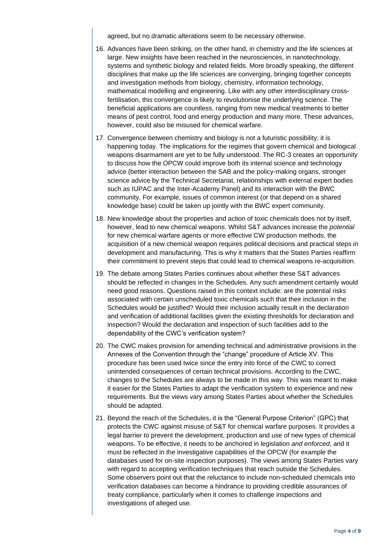agreed, but no dramatic alterations seem to be necessary otherwise.

- 16. Advances have been striking, on the other hand, in chemistry and the life sciences at large. New insights have been reached in the neurosciences, in nanotechnology, systems and synthetic biology and related fields. More broadly speaking, the different disciplines that make up the life sciences are converging, bringing together concepts and investigation methods from biology, chemistry, information technology, mathematical modelling and engineering. Like with any other interdisciplinary crossfertilisation, this convergence is likely to revolutionise the underlying science. The beneficial applications are countless, ranging from new medical treatments to better means of pest control, food and energy production and many more. These advances, however, could also be misused for chemical warfare.
- 17. Convergence between chemistry and biology is not a futuristic possibility; it is happening today. The implications for the regimes that govern chemical and biological weapons disarmament are yet to be fully understood. The RC-3 creates an opportunity to discuss how the OPCW could improve both its internal science and technology advice (better interaction between the SAB and the policy-making organs, stronger science advice by the Technical Secretariat, relationships with external expert bodies such as IUPAC and the Inter-Academy Panel) and its interaction with the BWC community. For example, issues of common interest (or that depend on a shared knowledge base) could be taken up jointly with the BWC expert community.
- 18. New knowledge about the properties and action of toxic chemicals does not by itself, however, lead to new chemical weapons. Whilst S&T advances increase the *potential* for new chemical warfare agents or more effective CW production methods, the acquisition of a new chemical weapon requires political decisions and practical steps in development and manufacturing. This is why it matters that the States Parties reaffirm their commitment to prevent steps that could lead to chemical weapons re-acquisition.
- 19. The debate among States Parties continues about whether these S&T advances should be reflected in changes in the Schedules. Any such amendment certainly would need good reasons. Questions raised in this context include: are the potential risks associated with certain unscheduled toxic chemicals such that their inclusion in the Schedules would be justified? Would their inclusion actually result in the declaration and verification of additional facilities given the existing thresholds for declaration and inspection? Would the declaration and inspection of such facilities add to the dependability of the CWC's verification system?
- 20. The CWC makes provision for amending technical and administrative provisions in the Annexes of the Convention through the "change" procedure of Article XV. This procedure has been used twice since the entry into force of the CWC to correct unintended consequences of certain technical provisions. According to the CWC, changes to the Schedules are always to be made in this way. This was meant to make it easier for the States Parties to adapt the verification system to experience and new requirements. But the views vary among States Parties about whether the Schedules should be adapted.
- 21. Beyond the reach of the Schedules, it is the "General Purpose Criterion" (GPC) that protects the CWC against misuse of S&T for chemical warfare purposes. It provides a legal barrier to prevent the development, production and use of new types of chemical weapons. To be effective, it needs to be anchored in legislation *and enforced*, and it must be reflected in the investigative capabilities of the OPCW (for example the databases used for on-site inspection purposes). The views among States Parties vary with regard to accepting verification techniques that reach outside the Schedules. Some observers point out that the reluctance to include non-scheduled chemicals into verification databases can become a hindrance to providing credible assurances of treaty compliance, particularly when it comes to challenge inspections and investigations of alleged use.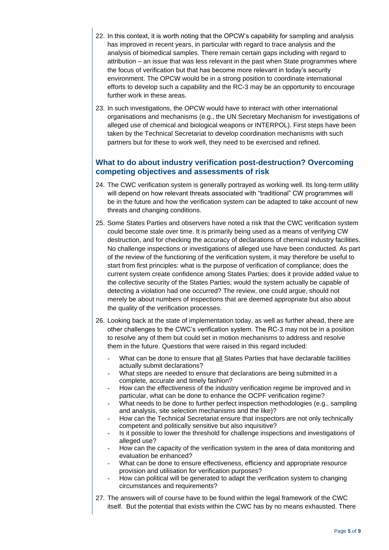- 22. In this context, it is worth noting that the OPCW's capability for sampling and analysis has improved in recent years, in particular with regard to trace analysis and the analysis of biomedical samples. There remain certain gaps including with regard to attribution – an issue that was less relevant in the past when State programmes where the focus of verification but that has become more relevant in today's security environment. The OPCW would be in a strong position to coordinate international efforts to develop such a capability and the RC-3 may be an opportunity to encourage further work in these areas.
- 23. In such investigations, the OPCW would have to interact with other international organisations and mechanisms (e.g., the UN Secretary Mechanism for investigations of alleged use of chemical and biological weapons or INTERPOL). First steps have been taken by the Technical Secretariat to develop coordination mechanisms with such partners but for these to work well, they need to be exercised and refined.

#### **What to do about industry verification post-destruction? Overcoming competing objectives and assessments of risk**

- 24. The CWC verification system is generally portrayed as working well. Its long-term utility will depend on how relevant threats associated with "traditional" CW programmes will be in the future and how the verification system can be adapted to take account of new threats and changing conditions.
- 25. Some States Parties and observers have noted a risk that the CWC verification system could become stale over time. It is primarily being used as a means of verifying CW destruction, and for checking the accuracy of declarations of chemical industry facilities. No challenge inspections or investigations of alleged use have been conducted. As part of the review of the functioning of the verification system, it may therefore be useful to start from first principles: what is the purpose of verification of compliance; does the current system create confidence among States Parties; does it provide added value to the collective security of the States Parties; would the system actually be capable of detecting a violation had one occurred? The review, one could argue, should not merely be about numbers of inspections that are deemed appropriate but also about the quality of the verification processes.
- 26. Looking back at the state of implementation today, as well as further ahead, there are other challenges to the CWC's verification system. The RC-3 may not be in a position to resolve any of them but could set in motion mechanisms to address and resolve them in the future. Questions that were raised in this regard included:
	- What can be done to ensure that all States Parties that have declarable facilities actually submit declarations?
	- What steps are needed to ensure that declarations are being submitted in a complete, accurate and timely fashion?
	- How can the effectiveness of the industry verification regime be improved and in particular, what can be done to enhance the OCPF verification regime?
	- What needs to be done to further perfect inspection methodologies (e.g., sampling and analysis, site selection mechanisms and the like)?
	- How can the Technical Secretariat ensure that inspectors are not only technically competent and politically sensitive but also inquisitive?
	- Is it possible to lower the threshold for challenge inspections and investigations of alleged use?
	- How can the capacity of the verification system in the area of data monitoring and evaluation be enhanced?
	- What can be done to ensure effectiveness, efficiency and appropriate resource provision and utilisation for verification purposes?
	- How can political will be generated to adapt the verification system to changing circumstances and requirements?
- 27. The answers will of course have to be found within the legal framework of the CWC itself. But the potential that exists within the CWC has by no means exhausted. There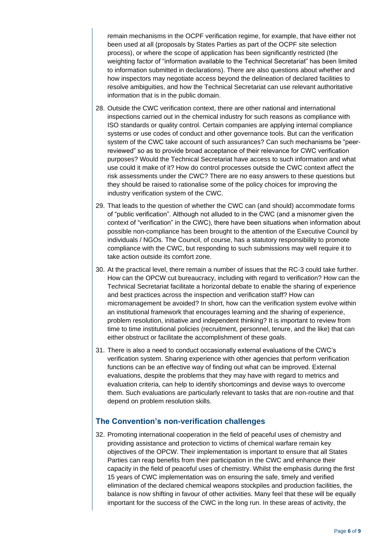remain mechanisms in the OCPF verification regime, for example, that have either not been used at all (proposals by States Parties as part of the OCPF site selection process), or where the scope of application has been significantly restricted (the weighting factor of "information available to the Technical Secretariat" has been limited to information submitted in declarations). There are also questions about whether and how inspectors may negotiate access beyond the delineation of declared facilities to resolve ambiguities, and how the Technical Secretariat can use relevant authoritative information that is in the public domain.

- 28. Outside the CWC verification context, there are other national and international inspections carried out in the chemical industry for such reasons as compliance with ISO standards or quality control. Certain companies are applying internal compliance systems or use codes of conduct and other governance tools. But can the verification system of the CWC take account of such assurances? Can such mechanisms be "peerreviewed" so as to provide broad acceptance of their relevance for CWC verification purposes? Would the Technical Secretariat have access to such information and what use could it make of it? How do control processes outside the CWC context affect the risk assessments under the CWC? There are no easy answers to these questions but they should be raised to rationalise some of the policy choices for improving the industry verification system of the CWC.
- 29. That leads to the question of whether the CWC can (and should) accommodate forms of "public verification". Although not alluded to in the CWC (and a misnomer given the context of "verification" in the CWC), there have been situations when information about possible non-compliance has been brought to the attention of the Executive Council by individuals / NGOs. The Council, of course, has a statutory responsibility to promote compliance with the CWC, but responding to such submissions may well require it to take action outside its comfort zone.
- 30. At the practical level, there remain a number of issues that the RC-3 could take further. How can the OPCW cut bureaucracy, including with regard to verification? How can the Technical Secretariat facilitate a horizontal debate to enable the sharing of experience and best practices across the inspection and verification staff? How can micromanagement be avoided? In short, how can the verification system evolve within an institutional framework that encourages learning and the sharing of experience, problem resolution, initiative and independent thinking? It is important to review from time to time institutional policies (recruitment, personnel, tenure, and the like) that can either obstruct or facilitate the accomplishment of these goals.
- 31. There is also a need to conduct occasionally external evaluations of the CWC's verification system. Sharing experience with other agencies that perform verification functions can be an effective way of finding out what can be improved. External evaluations, despite the problems that they may have with regard to metrics and evaluation criteria, can help to identify shortcomings and devise ways to overcome them. Such evaluations are particularly relevant to tasks that are non-routine and that depend on problem resolution skills.

#### **The Convention's non-verification challenges**

32. Promoting international cooperation in the field of peaceful uses of chemistry and providing assistance and protection to victims of chemical warfare remain key objectives of the OPCW. Their implementation is important to ensure that all States Parties can reap benefits from their participation in the CWC and enhance their capacity in the field of peaceful uses of chemistry. Whilst the emphasis during the first 15 years of CWC implementation was on ensuring the safe, timely and verified elimination of the declared chemical weapons stockpiles and production facilities, the balance is now shifting in favour of other activities. Many feel that these will be equally important for the success of the CWC in the long run. In these areas of activity, the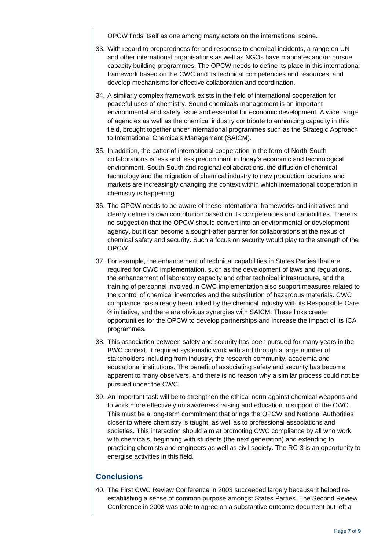OPCW finds itself as one among many actors on the international scene.

- 33. With regard to preparedness for and response to chemical incidents, a range on UN and other international organisations as well as NGOs have mandates and/or pursue capacity building programmes. The OPCW needs to define its place in this international framework based on the CWC and its technical competencies and resources, and develop mechanisms for effective collaboration and coordination.
- 34. A similarly complex framework exists in the field of international cooperation for peaceful uses of chemistry. Sound chemicals management is an important environmental and safety issue and essential for economic development. A wide range of agencies as well as the chemical industry contribute to enhancing capacity in this field, brought together under international programmes such as the Strategic Approach to International Chemicals Management (SAICM).
- 35. In addition, the patter of international cooperation in the form of North-South collaborations is less and less predominant in today's economic and technological environment. South-South and regional collaborations, the diffusion of chemical technology and the migration of chemical industry to new production locations and markets are increasingly changing the context within which international cooperation in chemistry is happening.
- 36. The OPCW needs to be aware of these international frameworks and initiatives and clearly define its own contribution based on its competencies and capabilities. There is no suggestion that the OPCW should convert into an environmental or development agency, but it can become a sought-after partner for collaborations at the nexus of chemical safety and security. Such a focus on security would play to the strength of the OPCW.
- 37. For example, the enhancement of technical capabilities in States Parties that are required for CWC implementation, such as the development of laws and regulations, the enhancement of laboratory capacity and other technical infrastructure, and the training of personnel involved in CWC implementation also support measures related to the control of chemical inventories and the substitution of hazardous materials. CWC compliance has already been linked by the chemical industry with its Responsible Care ® initiative, and there are obvious synergies with SAICM. These links create opportunities for the OPCW to develop partnerships and increase the impact of its ICA programmes.
- 38. This association between safety and security has been pursued for many years in the BWC context. It required systematic work with and through a large number of stakeholders including from industry, the research community, academia and educational institutions. The benefit of associating safety and security has become apparent to many observers, and there is no reason why a similar process could not be pursued under the CWC.
- 39. An important task will be to strengthen the ethical norm against chemical weapons and to work more effectively on awareness raising and education in support of the CWC. This must be a long-term commitment that brings the OPCW and National Authorities closer to where chemistry is taught, as well as to professional associations and societies. This interaction should aim at promoting CWC compliance by all who work with chemicals, beginning with students (the next generation) and extending to practicing chemists and engineers as well as civil society. The RC-3 is an opportunity to energise activities in this field.

#### **Conclusions**

40. The First CWC Review Conference in 2003 succeeded largely because it helped reestablishing a sense of common purpose amongst States Parties. The Second Review Conference in 2008 was able to agree on a substantive outcome document but left a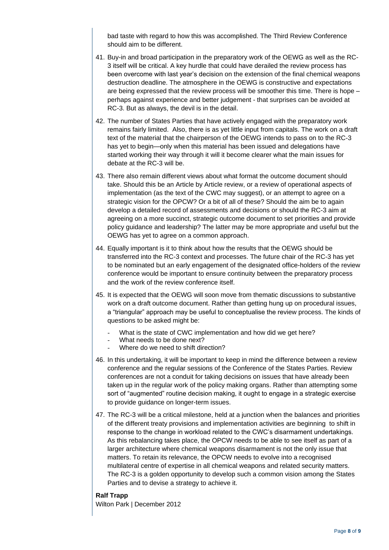bad taste with regard to how this was accomplished. The Third Review Conference should aim to be different.

- 41. Buy-in and broad participation in the preparatory work of the OEWG as well as the RC-3 itself will be critical. A key hurdle that could have derailed the review process has been overcome with last year's decision on the extension of the final chemical weapons destruction deadline. The atmosphere in the OEWG is constructive and expectations are being expressed that the review process will be smoother this time. There is hope – perhaps against experience and better judgement - that surprises can be avoided at RC-3. But as always, the devil is in the detail.
- 42. The number of States Parties that have actively engaged with the preparatory work remains fairly limited. Also, there is as yet little input from capitals. The work on a draft text of the material that the chairperson of the OEWG intends to pass on to the RC-3 has yet to begin—only when this material has been issued and delegations have started working their way through it will it become clearer what the main issues for debate at the RC-3 will be.
- 43. There also remain different views about what format the outcome document should take. Should this be an Article by Article review, or a review of operational aspects of implementation (as the text of the CWC may suggest), or an attempt to agree on a strategic vision for the OPCW? Or a bit of all of these? Should the aim be to again develop a detailed record of assessments and decisions or should the RC-3 aim at agreeing on a more succinct, strategic outcome document to set priorities and provide policy guidance and leadership? The latter may be more appropriate and useful but the OEWG has yet to agree on a common approach.
- 44. Equally important is it to think about how the results that the OEWG should be transferred into the RC-3 context and processes. The future chair of the RC-3 has yet to be nominated but an early engagement of the designated office-holders of the review conference would be important to ensure continuity between the preparatory process and the work of the review conference itself.
- 45. It is expected that the OEWG will soon move from thematic discussions to substantive work on a draft outcome document. Rather than getting hung up on procedural issues, a "triangular" approach may be useful to conceptualise the review process. The kinds of questions to be asked might be:
	- What is the state of CWC implementation and how did we get here?
	- What needs to be done next?
	- Where do we need to shift direction?
- 46. In this undertaking, it will be important to keep in mind the difference between a review conference and the regular sessions of the Conference of the States Parties. Review conferences are not a conduit for taking decisions on issues that have already been taken up in the regular work of the policy making organs. Rather than attempting some sort of "augmented" routine decision making, it ought to engage in a strategic exercise to provide guidance on longer-term issues.
- 47. The RC-3 will be a critical milestone, held at a junction when the balances and priorities of the different treaty provisions and implementation activities are beginning to shift in response to the change in workload related to the CWC's disarmament undertakings. As this rebalancing takes place, the OPCW needs to be able to see itself as part of a larger architecture where chemical weapons disarmament is not the only issue that matters. To retain its relevance, the OPCW needs to evolve into a recognised multilateral centre of expertise in all chemical weapons and related security matters. The RC-3 is a golden opportunity to develop such a common vision among the States Parties and to devise a strategy to achieve it.

#### **Ralf Trapp** Wilton Park | December 2012